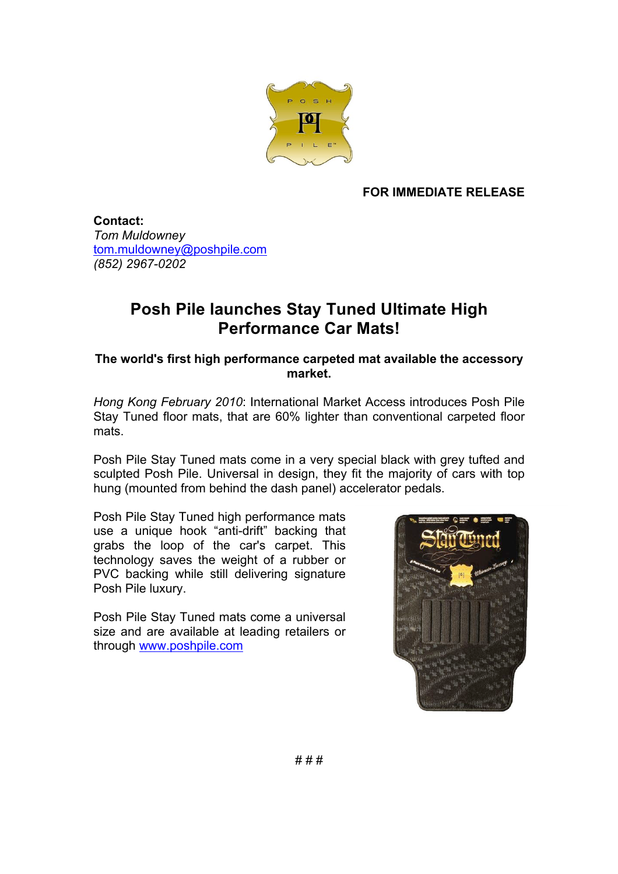

## **FOR IMMEDIATE RELEASE**

**Contact:** *Tom Muldowney* tom.muldowney@poshpile.com *(852) 2967-0202*

## **Posh Pile launches Stay Tuned Ultimate High Performance Car Mats!**

**The world's first high performance carpeted mat available the accessory market.**

*Hong Kong February 2010*: International Market Access introduces Posh Pile Stay Tuned floor mats, that are 60% lighter than conventional carpeted floor mats.

Posh Pile Stay Tuned mats come in a very special black with grey tufted and sculpted Posh Pile. Universal in design, they fit the majority of cars with top hung (mounted from behind the dash panel) accelerator pedals.

Posh Pile Stay Tuned high performance mats use a unique hook "anti-drift" backing that grabs the loop of the car's carpet. This technology saves the weight of a rubber or PVC backing while still delivering signature Posh Pile luxury.

Posh Pile Stay Tuned mats come a universal size and are available at leading retailers or through www.poshpile.com